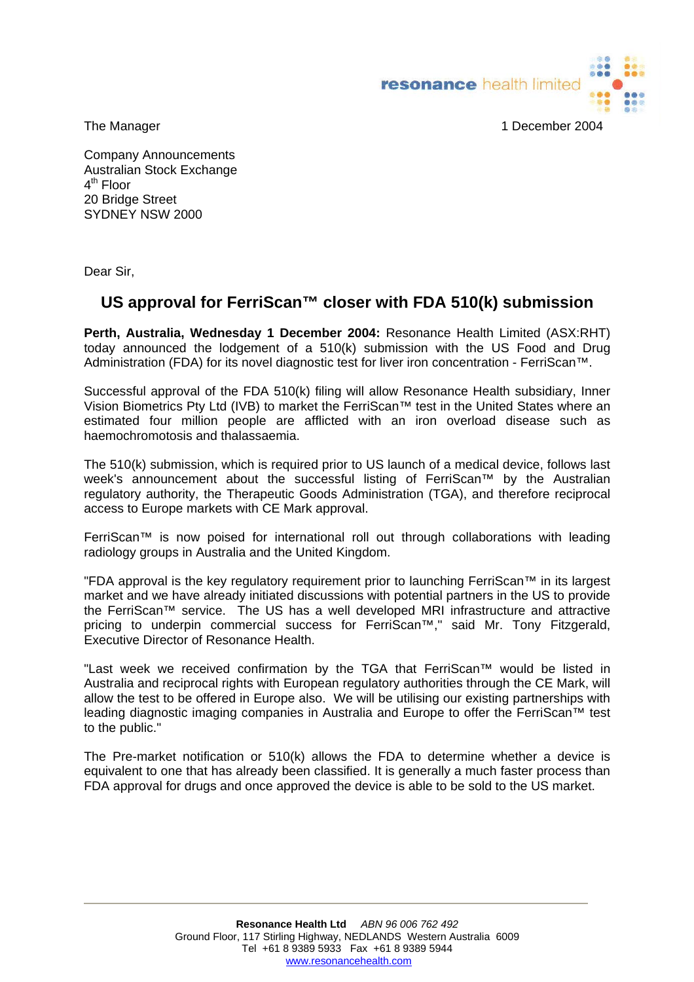resonance health limited



The Manager 1 December 2004

Company Announcements Australian Stock Exchange  $4<sup>th</sup>$  Floor 20 Bridge Street SYDNEY NSW 2000

Dear Sir,

## **US approval for FerriScan™ closer with FDA 510(k) submission**

**Perth, Australia, Wednesday 1 December 2004:** Resonance Health Limited (ASX:RHT) today announced the lodgement of a 510(k) submission with the US Food and Drug Administration (FDA) for its novel diagnostic test for liver iron concentration - FerriScan™.

Successful approval of the FDA 510(k) filing will allow Resonance Health subsidiary, Inner Vision Biometrics Pty Ltd (IVB) to market the FerriScan™ test in the United States where an estimated four million people are afflicted with an iron overload disease such as haemochromotosis and thalassaemia.

The 510(k) submission, which is required prior to US launch of a medical device, follows last week's announcement about the successful listing of FerriScan™ by the Australian regulatory authority, the Therapeutic Goods Administration (TGA), and therefore reciprocal access to Europe markets with CE Mark approval.

FerriScan™ is now poised for international roll out through collaborations with leading radiology groups in Australia and the United Kingdom.

"FDA approval is the key regulatory requirement prior to launching FerriScan™ in its largest market and we have already initiated discussions with potential partners in the US to provide the FerriScan™ service. The US has a well developed MRI infrastructure and attractive pricing to underpin commercial success for FerriScan™," said Mr. Tony Fitzgerald, Executive Director of Resonance Health.

"Last week we received confirmation by the TGA that FerriScan™ would be listed in Australia and reciprocal rights with European regulatory authorities through the CE Mark, will allow the test to be offered in Europe also. We will be utilising our existing partnerships with leading diagnostic imaging companies in Australia and Europe to offer the FerriScan™ test to the public."

The Pre-market notification or 510(k) allows the FDA to determine whether a device is equivalent to one that has already been classified. It is generally a much faster process than FDA approval for drugs and once approved the device is able to be sold to the US market.